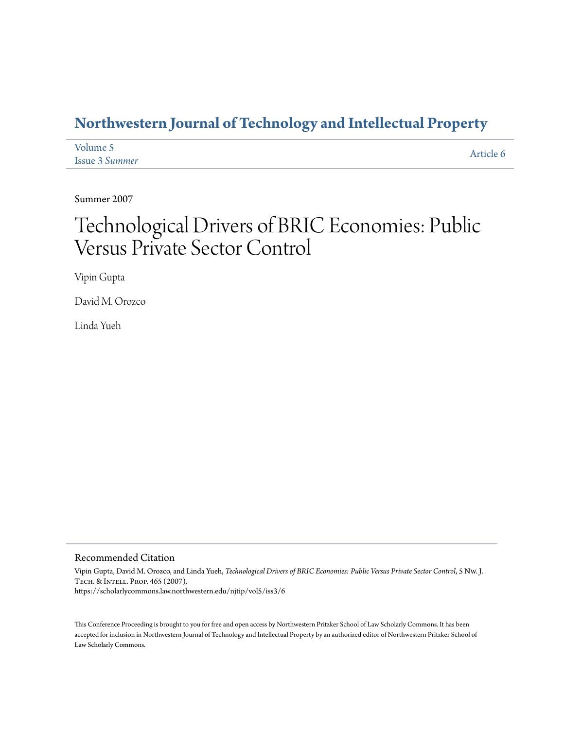### **[Northwestern Journal of Technology and Intellectual Property](https://scholarlycommons.law.northwestern.edu/njtip)**

| Volume 5              | Article 6 |
|-----------------------|-----------|
| <b>Issue 3 Summer</b> |           |

Summer 2007

# Technological Drivers of BRIC Economies: Public Versus Private Sector Control

Vipin Gupta

David M. Orozco

Linda Yueh

#### Recommended Citation

Vipin Gupta, David M. Orozco, and Linda Yueh, *Technological Drivers of BRIC Economies: Public Versus Private Sector Control*, 5 Nw. J. Tech. & Intell. Prop. 465 (2007). https://scholarlycommons.law.northwestern.edu/njtip/vol5/iss3/6

This Conference Proceeding is brought to you for free and open access by Northwestern Pritzker School of Law Scholarly Commons. It has been accepted for inclusion in Northwestern Journal of Technology and Intellectual Property by an authorized editor of Northwestern Pritzker School of Law Scholarly Commons.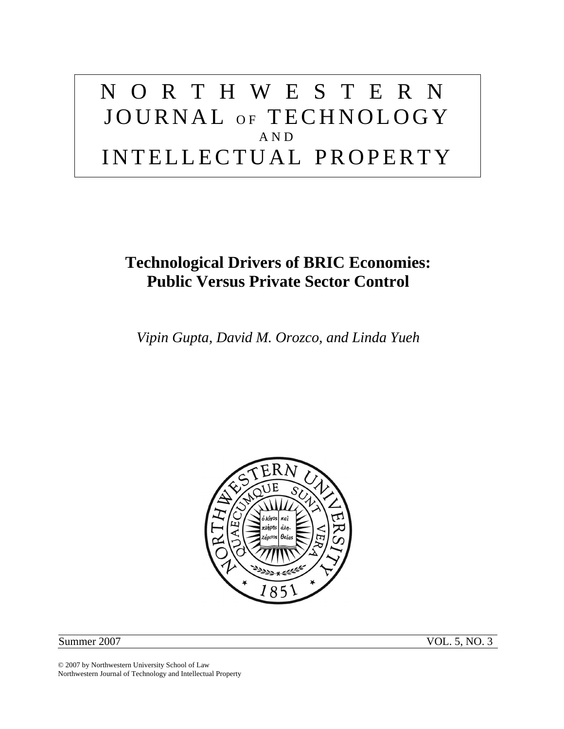# NORTHWESTERN JOURNAL OF TECHNOLOGY AND INTELLECTUAL PROPERTY

## **Technological Drivers of BRIC Economies: Public Versus Private Sector Control**

*Vipin Gupta, David M. Orozco, and Linda Yueh* 



Summer 2007 VOL. 5, NO. 3

© 2007 by Northwestern University School of Law Northwestern Journal of Technology and Intellectual Property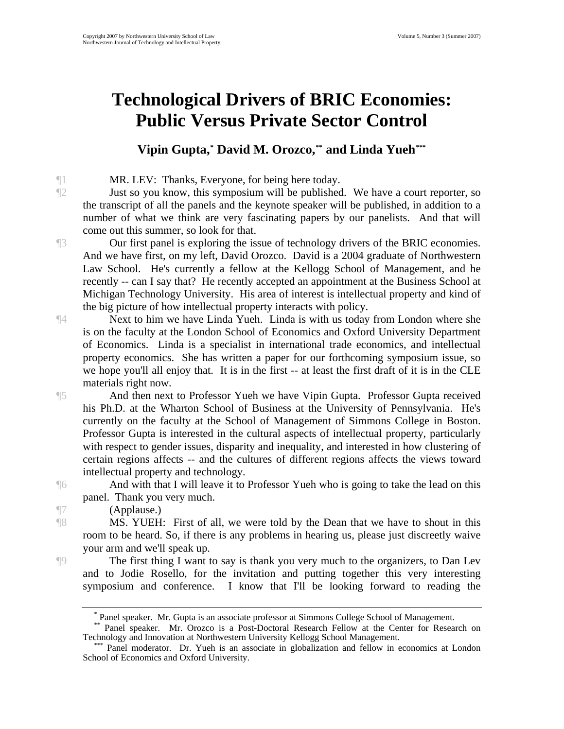## **Technological Drivers of BRIC Economies: Public Versus Private Sector Control**

#### **Vipin Gupta,\* David M. Orozco,\*\* and Linda Yueh[\\*\\*\\*](#page-2-2)**

¶1 MR. LEV: Thanks, Everyone, for being here today.

¶2 Just so you know, this symposium will be published. We have a court reporter, so the transcript of all the panels and the keynote speaker will be published, in addition to a number of what we think are very fascinating papers by our panelists. And that will come out this summer, so look for that.

¶3 Our first panel is exploring the issue of technology drivers of the BRIC economies. And we have first, on my left, David Orozco. David is a 2004 graduate of Northwestern Law School. He's currently a fellow at the Kellogg School of Management, and he recently -- can I say that? He recently accepted an appointment at the Business School at Michigan Technology University. His area of interest is intellectual property and kind of the big picture of how intellectual property interacts with policy.

¶4 Next to him we have Linda Yueh. Linda is with us today from London where she is on the faculty at the London School of Economics and Oxford University Department of Economics. Linda is a specialist in international trade economics, and intellectual property economics. She has written a paper for our forthcoming symposium issue, so we hope you'll all enjoy that. It is in the first -- at least the first draft of it is in the CLE materials right now.

¶5 And then next to Professor Yueh we have Vipin Gupta. Professor Gupta received his Ph.D. at the Wharton School of Business at the University of Pennsylvania. He's currently on the faculty at the School of Management of Simmons College in Boston. Professor Gupta is interested in the cultural aspects of intellectual property, particularly with respect to gender issues, disparity and inequality, and interested in how clustering of certain regions affects -- and the cultures of different regions affects the views toward intellectual property and technology.

¶6 And with that I will leave it to Professor Yueh who is going to take the lead on this panel. Thank you very much.

¶7 (Applause.)

¶8 MS. YUEH: First of all, we were told by the Dean that we have to shout in this room to be heard. So, if there is any problems in hearing us, please just discreetly waive your arm and we'll speak up.

<span id="page-2-0"></span>¶9 The first thing I want to say is thank you very much to the organizers, to Dan Lev and to Jodie Rosello, for the invitation and putting together this very interesting symposium and conference. I know that I'll be looking forward to reading the

<sup>\*</sup> Panel speaker. Mr. Gupta is an associate professor at Simmons College School of Management.

<span id="page-2-1"></span><sup>\*\*</sup> Panel speaker. Mr. Orozco is a Post-Doctoral Research Fellow at the Center for Research on Technology and Innovation at Northwestern University Kellogg School Management.

<span id="page-2-2"></span>Panel moderator. Dr. Yueh is an associate in globalization and fellow in economics at London School of Economics and Oxford University.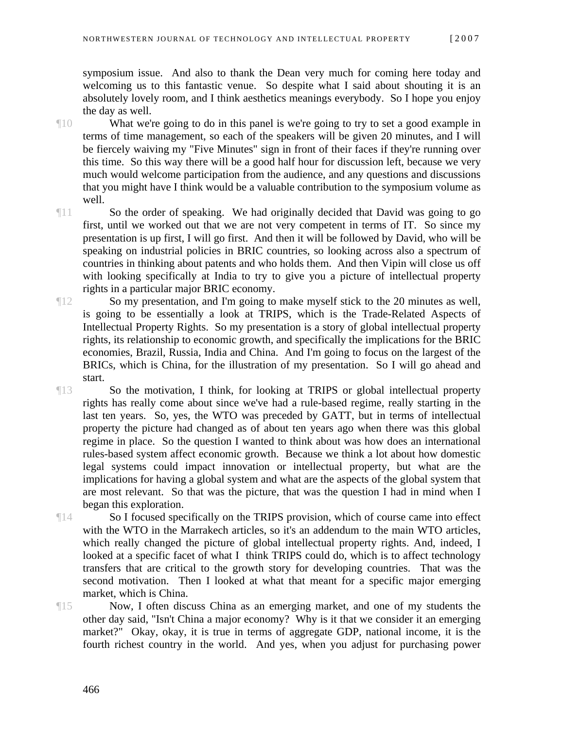symposium issue. And also to thank the Dean very much for coming here today and welcoming us to this fantastic venue. So despite what I said about shouting it is an absolutely lovely room, and I think aesthetics meanings everybody. So I hope you enjoy the day as well.

¶10 What we're going to do in this panel is we're going to try to set a good example in terms of time management, so each of the speakers will be given 20 minutes, and I will be fiercely waiving my "Five Minutes" sign in front of their faces if they're running over this time. So this way there will be a good half hour for discussion left, because we very much would welcome participation from the audience, and any questions and discussions that you might have I think would be a valuable contribution to the symposium volume as well.

¶11 So the order of speaking. We had originally decided that David was going to go first, until we worked out that we are not very competent in terms of IT. So since my presentation is up first, I will go first. And then it will be followed by David, who will be speaking on industrial policies in BRIC countries, so looking across also a spectrum of countries in thinking about patents and who holds them. And then Vipin will close us off with looking specifically at India to try to give you a picture of intellectual property rights in a particular major BRIC economy.

- ¶12 So my presentation, and I'm going to make myself stick to the 20 minutes as well, is going to be essentially a look at TRIPS, which is the Trade-Related Aspects of Intellectual Property Rights. So my presentation is a story of global intellectual property rights, its relationship to economic growth, and specifically the implications for the BRIC economies, Brazil, Russia, India and China. And I'm going to focus on the largest of the BRICs, which is China, for the illustration of my presentation. So I will go ahead and start.
- ¶13 So the motivation, I think, for looking at TRIPS or global intellectual property rights has really come about since we've had a rule-based regime, really starting in the last ten years. So, yes, the WTO was preceded by GATT, but in terms of intellectual property the picture had changed as of about ten years ago when there was this global regime in place. So the question I wanted to think about was how does an international rules-based system affect economic growth. Because we think a lot about how domestic legal systems could impact innovation or intellectual property, but what are the implications for having a global system and what are the aspects of the global system that are most relevant. So that was the picture, that was the question I had in mind when I began this exploration.

¶14 So I focused specifically on the TRIPS provision, which of course came into effect with the WTO in the Marrakech articles, so it's an addendum to the main WTO articles, which really changed the picture of global intellectual property rights. And, indeed, I looked at a specific facet of what I think TRIPS could do, which is to affect technology transfers that are critical to the growth story for developing countries. That was the second motivation. Then I looked at what that meant for a specific major emerging market, which is China.

¶15 Now, I often discuss China as an emerging market, and one of my students the other day said, "Isn't China a major economy? Why is it that we consider it an emerging market?" Okay, okay, it is true in terms of aggregate GDP, national income, it is the fourth richest country in the world. And yes, when you adjust for purchasing power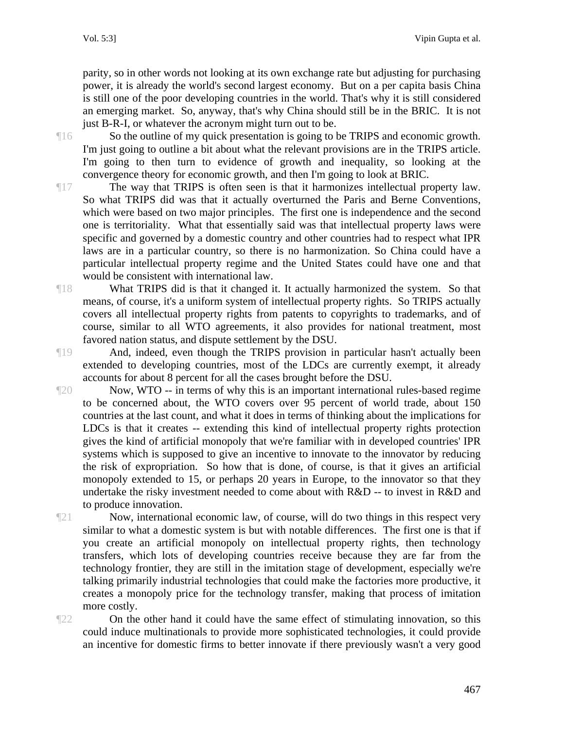parity, so in other words not looking at its own exchange rate but adjusting for purchasing power, it is already the world's second largest economy. But on a per capita basis China is still one of the poor developing countries in the world. That's why it is still considered an emerging market. So, anyway, that's why China should still be in the BRIC. It is not just B-R-I, or whatever the acronym might turn out to be.

¶16 So the outline of my quick presentation is going to be TRIPS and economic growth. I'm just going to outline a bit about what the relevant provisions are in the TRIPS article. I'm going to then turn to evidence of growth and inequality, so looking at the convergence theory for economic growth, and then I'm going to look at BRIC.

¶17 The way that TRIPS is often seen is that it harmonizes intellectual property law. So what TRIPS did was that it actually overturned the Paris and Berne Conventions, which were based on two major principles. The first one is independence and the second one is territoriality. What that essentially said was that intellectual property laws were specific and governed by a domestic country and other countries had to respect what IPR laws are in a particular country, so there is no harmonization. So China could have a particular intellectual property regime and the United States could have one and that would be consistent with international law.

¶18 What TRIPS did is that it changed it. It actually harmonized the system. So that means, of course, it's a uniform system of intellectual property rights. So TRIPS actually covers all intellectual property rights from patents to copyrights to trademarks, and of course, similar to all WTO agreements, it also provides for national treatment, most favored nation status, and dispute settlement by the DSU.

¶19 And, indeed, even though the TRIPS provision in particular hasn't actually been extended to developing countries, most of the LDCs are currently exempt, it already accounts for about 8 percent for all the cases brought before the DSU.

¶20 Now, WTO -- in terms of why this is an important international rules-based regime to be concerned about, the WTO covers over 95 percent of world trade, about 150 countries at the last count, and what it does in terms of thinking about the implications for LDCs is that it creates -- extending this kind of intellectual property rights protection gives the kind of artificial monopoly that we're familiar with in developed countries' IPR systems which is supposed to give an incentive to innovate to the innovator by reducing the risk of expropriation. So how that is done, of course, is that it gives an artificial monopoly extended to 15, or perhaps 20 years in Europe, to the innovator so that they undertake the risky investment needed to come about with R&D -- to invest in R&D and to produce innovation.

 $\mathbb{R}^{21}$  Now, international economic law, of course, will do two things in this respect very similar to what a domestic system is but with notable differences. The first one is that if you create an artificial monopoly on intellectual property rights, then technology transfers, which lots of developing countries receive because they are far from the technology frontier, they are still in the imitation stage of development, especially we're talking primarily industrial technologies that could make the factories more productive, it creates a monopoly price for the technology transfer, making that process of imitation more costly.

¶22 On the other hand it could have the same effect of stimulating innovation, so this could induce multinationals to provide more sophisticated technologies, it could provide an incentive for domestic firms to better innovate if there previously wasn't a very good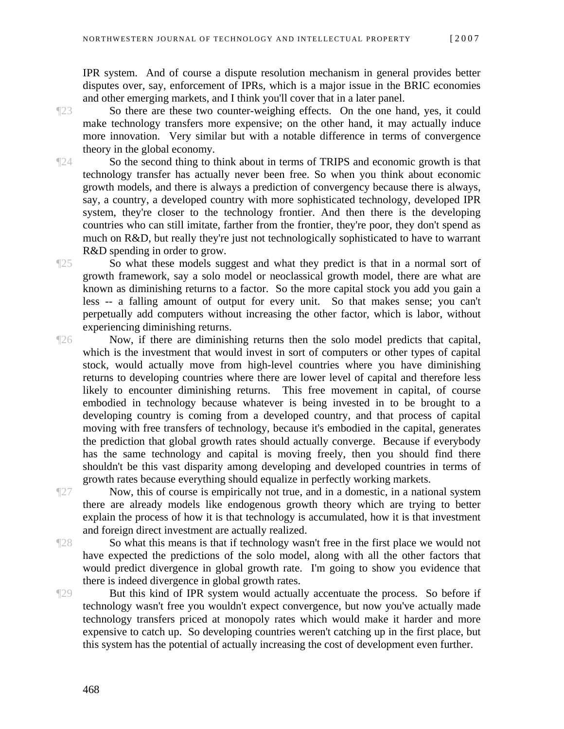IPR system. And of course a dispute resolution mechanism in general provides better disputes over, say, enforcement of IPRs, which is a major issue in the BRIC economies and other emerging markets, and I think you'll cover that in a later panel.

¶23 So there are these two counter-weighing effects. On the one hand, yes, it could make technology transfers more expensive; on the other hand, it may actually induce more innovation. Very similar but with a notable difference in terms of convergence theory in the global economy.

¶24 So the second thing to think about in terms of TRIPS and economic growth is that technology transfer has actually never been free. So when you think about economic growth models, and there is always a prediction of convergency because there is always, say, a country, a developed country with more sophisticated technology, developed IPR system, they're closer to the technology frontier. And then there is the developing countries who can still imitate, farther from the frontier, they're poor, they don't spend as much on R&D, but really they're just not technologically sophisticated to have to warrant R&D spending in order to grow.

¶25 So what these models suggest and what they predict is that in a normal sort of growth framework, say a solo model or neoclassical growth model, there are what are known as diminishing returns to a factor. So the more capital stock you add you gain a less -- a falling amount of output for every unit. So that makes sense; you can't perpetually add computers without increasing the other factor, which is labor, without experiencing diminishing returns.

¶26 Now, if there are diminishing returns then the solo model predicts that capital, which is the investment that would invest in sort of computers or other types of capital stock, would actually move from high-level countries where you have diminishing returns to developing countries where there are lower level of capital and therefore less likely to encounter diminishing returns. This free movement in capital, of course embodied in technology because whatever is being invested in to be brought to a developing country is coming from a developed country, and that process of capital moving with free transfers of technology, because it's embodied in the capital, generates the prediction that global growth rates should actually converge. Because if everybody has the same technology and capital is moving freely, then you should find there shouldn't be this vast disparity among developing and developed countries in terms of growth rates because everything should equalize in perfectly working markets.

¶27 Now, this of course is empirically not true, and in a domestic, in a national system there are already models like endogenous growth theory which are trying to better explain the process of how it is that technology is accumulated, how it is that investment and foreign direct investment are actually realized.

¶28 So what this means is that if technology wasn't free in the first place we would not have expected the predictions of the solo model, along with all the other factors that would predict divergence in global growth rate. I'm going to show you evidence that there is indeed divergence in global growth rates.

¶29 But this kind of IPR system would actually accentuate the process. So before if technology wasn't free you wouldn't expect convergence, but now you've actually made technology transfers priced at monopoly rates which would make it harder and more expensive to catch up. So developing countries weren't catching up in the first place, but this system has the potential of actually increasing the cost of development even further.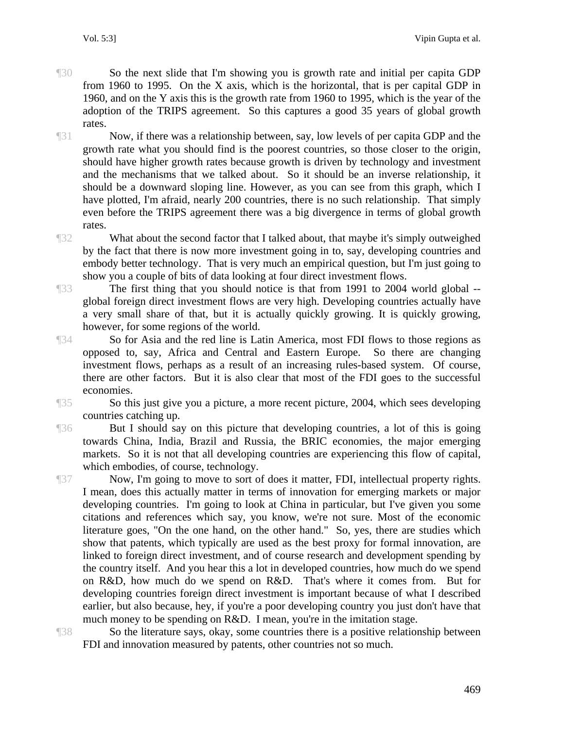- ¶30 So the next slide that I'm showing you is growth rate and initial per capita GDP from 1960 to 1995. On the X axis, which is the horizontal, that is per capital GDP in 1960, and on the Y axis this is the growth rate from 1960 to 1995, which is the year of the adoption of the TRIPS agreement. So this captures a good 35 years of global growth rates.
- ¶31 Now, if there was a relationship between, say, low levels of per capita GDP and the growth rate what you should find is the poorest countries, so those closer to the origin, should have higher growth rates because growth is driven by technology and investment and the mechanisms that we talked about. So it should be an inverse relationship, it should be a downward sloping line. However, as you can see from this graph, which I have plotted, I'm afraid, nearly 200 countries, there is no such relationship. That simply even before the TRIPS agreement there was a big divergence in terms of global growth rates.
- ¶32 What about the second factor that I talked about, that maybe it's simply outweighed by the fact that there is now more investment going in to, say, developing countries and embody better technology. That is very much an empirical question, but I'm just going to show you a couple of bits of data looking at four direct investment flows.
- ¶33 The first thing that you should notice is that from 1991 to 2004 world global global foreign direct investment flows are very high. Developing countries actually have a very small share of that, but it is actually quickly growing. It is quickly growing, however, for some regions of the world.
- ¶34 So for Asia and the red line is Latin America, most FDI flows to those regions as opposed to, say, Africa and Central and Eastern Europe. So there are changing investment flows, perhaps as a result of an increasing rules-based system. Of course, there are other factors. But it is also clear that most of the FDI goes to the successful economies.
- 

¶35 So this just give you a picture, a more recent picture, 2004, which sees developing countries catching up.

¶36 But I should say on this picture that developing countries, a lot of this is going towards China, India, Brazil and Russia, the BRIC economies, the major emerging markets. So it is not that all developing countries are experiencing this flow of capital, which embodies, of course, technology.

¶37 Now, I'm going to move to sort of does it matter, FDI, intellectual property rights. I mean, does this actually matter in terms of innovation for emerging markets or major developing countries. I'm going to look at China in particular, but I've given you some citations and references which say, you know, we're not sure. Most of the economic literature goes, "On the one hand, on the other hand." So, yes, there are studies which show that patents, which typically are used as the best proxy for formal innovation, are linked to foreign direct investment, and of course research and development spending by the country itself. And you hear this a lot in developed countries, how much do we spend on R&D, how much do we spend on R&D. That's where it comes from. But for developing countries foreign direct investment is important because of what I described earlier, but also because, hey, if you're a poor developing country you just don't have that much money to be spending on R&D. I mean, you're in the imitation stage.

¶38 So the literature says, okay, some countries there is a positive relationship between FDI and innovation measured by patents, other countries not so much.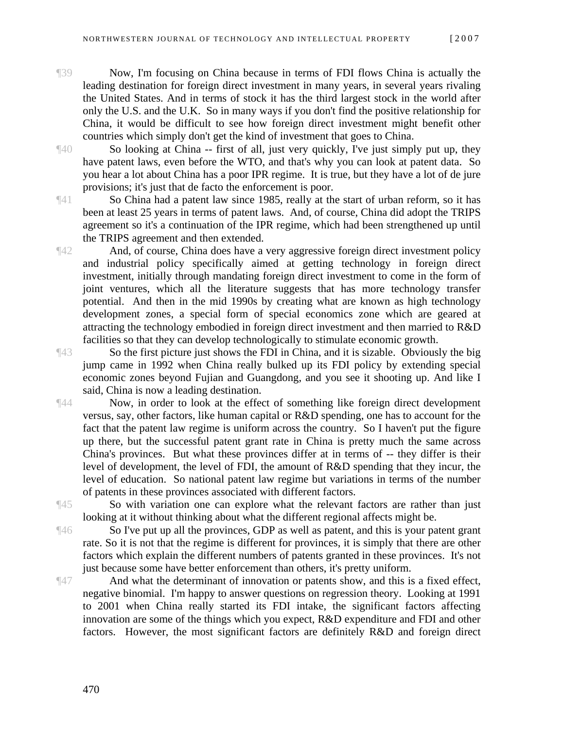- ¶39 Now, I'm focusing on China because in terms of FDI flows China is actually the leading destination for foreign direct investment in many years, in several years rivaling the United States. And in terms of stock it has the third largest stock in the world after only the U.S. and the U.K. So in many ways if you don't find the positive relationship for China, it would be difficult to see how foreign direct investment might benefit other countries which simply don't get the kind of investment that goes to China.
- ¶40 So looking at China -- first of all, just very quickly, I've just simply put up, they have patent laws, even before the WTO, and that's why you can look at patent data. So you hear a lot about China has a poor IPR regime. It is true, but they have a lot of de jure provisions; it's just that de facto the enforcement is poor.

¶41 So China had a patent law since 1985, really at the start of urban reform, so it has been at least 25 years in terms of patent laws. And, of course, China did adopt the TRIPS agreement so it's a continuation of the IPR regime, which had been strengthened up until the TRIPS agreement and then extended.

¶42 And, of course, China does have a very aggressive foreign direct investment policy and industrial policy specifically aimed at getting technology in foreign direct investment, initially through mandating foreign direct investment to come in the form of joint ventures, which all the literature suggests that has more technology transfer potential. And then in the mid 1990s by creating what are known as high technology development zones, a special form of special economics zone which are geared at attracting the technology embodied in foreign direct investment and then married to R&D facilities so that they can develop technologically to stimulate economic growth.

¶43 So the first picture just shows the FDI in China, and it is sizable. Obviously the big jump came in 1992 when China really bulked up its FDI policy by extending special economic zones beyond Fujian and Guangdong, and you see it shooting up. And like I said, China is now a leading destination.

¶44 Now, in order to look at the effect of something like foreign direct development versus, say, other factors, like human capital or R&D spending, one has to account for the fact that the patent law regime is uniform across the country. So I haven't put the figure up there, but the successful patent grant rate in China is pretty much the same across China's provinces. But what these provinces differ at in terms of -- they differ is their level of development, the level of FDI, the amount of R&D spending that they incur, the level of education. So national patent law regime but variations in terms of the number of patents in these provinces associated with different factors.

¶45 So with variation one can explore what the relevant factors are rather than just looking at it without thinking about what the different regional affects might be.

¶46 So I've put up all the provinces, GDP as well as patent, and this is your patent grant rate. So it is not that the regime is different for provinces, it is simply that there are other factors which explain the different numbers of patents granted in these provinces. It's not just because some have better enforcement than others, it's pretty uniform.

¶47 And what the determinant of innovation or patents show, and this is a fixed effect, negative binomial. I'm happy to answer questions on regression theory. Looking at 1991 to 2001 when China really started its FDI intake, the significant factors affecting innovation are some of the things which you expect, R&D expenditure and FDI and other factors. However, the most significant factors are definitely R&D and foreign direct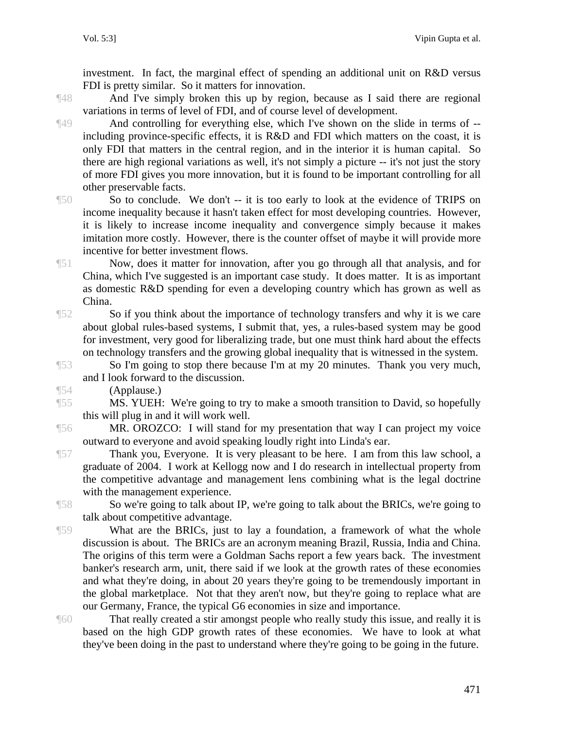investment. In fact, the marginal effect of spending an additional unit on R&D versus FDI is pretty similar. So it matters for innovation.

¶48 And I've simply broken this up by region, because as I said there are regional variations in terms of level of FDI, and of course level of development.

¶49 And controlling for everything else, which I've shown on the slide in terms of - including province-specific effects, it is R&D and FDI which matters on the coast, it is only FDI that matters in the central region, and in the interior it is human capital. So there are high regional variations as well, it's not simply a picture -- it's not just the story of more FDI gives you more innovation, but it is found to be important controlling for all other preservable facts.

¶50 So to conclude. We don't -- it is too early to look at the evidence of TRIPS on income inequality because it hasn't taken effect for most developing countries. However, it is likely to increase income inequality and convergence simply because it makes imitation more costly. However, there is the counter offset of maybe it will provide more incentive for better investment flows.

¶51 Now, does it matter for innovation, after you go through all that analysis, and for China, which I've suggested is an important case study. It does matter. It is as important as domestic R&D spending for even a developing country which has grown as well as China.

¶52 So if you think about the importance of technology transfers and why it is we care about global rules-based systems, I submit that, yes, a rules-based system may be good for investment, very good for liberalizing trade, but one must think hard about the effects on technology transfers and the growing global inequality that is witnessed in the system.

¶53 So I'm going to stop there because I'm at my 20 minutes. Thank you very much, and I look forward to the discussion.

¶54 (Applause.)

¶55 MS. YUEH: We're going to try to make a smooth transition to David, so hopefully this will plug in and it will work well.

¶56 MR. OROZCO: I will stand for my presentation that way I can project my voice outward to everyone and avoid speaking loudly right into Linda's ear.

¶57 Thank you, Everyone. It is very pleasant to be here. I am from this law school, a graduate of 2004. I work at Kellogg now and I do research in intellectual property from the competitive advantage and management lens combining what is the legal doctrine with the management experience.

¶58 So we're going to talk about IP, we're going to talk about the BRICs, we're going to talk about competitive advantage.

¶59 What are the BRICs, just to lay a foundation, a framework of what the whole discussion is about. The BRICs are an acronym meaning Brazil, Russia, India and China. The origins of this term were a Goldman Sachs report a few years back. The investment banker's research arm, unit, there said if we look at the growth rates of these economies and what they're doing, in about 20 years they're going to be tremendously important in the global marketplace. Not that they aren't now, but they're going to replace what are our Germany, France, the typical G6 economies in size and importance.

¶60 That really created a stir amongst people who really study this issue, and really it is based on the high GDP growth rates of these economies. We have to look at what they've been doing in the past to understand where they're going to be going in the future.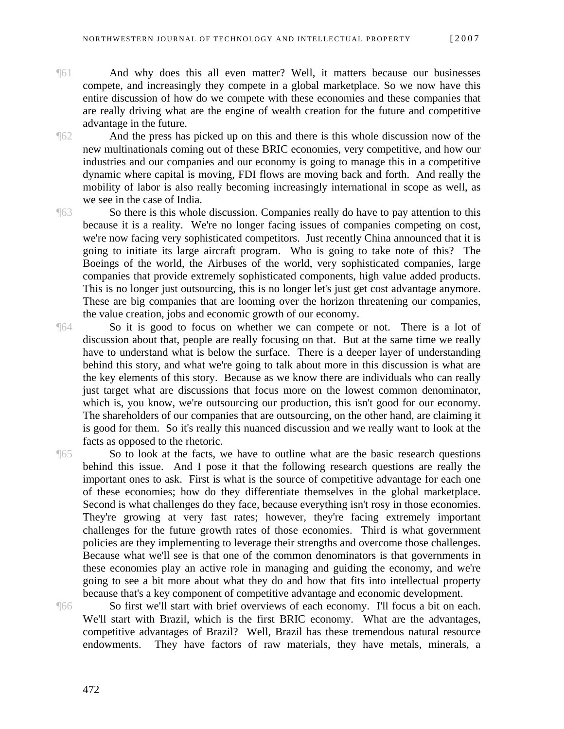- 
- ¶61 And why does this all even matter? Well, it matters because our businesses compete, and increasingly they compete in a global marketplace. So we now have this entire discussion of how do we compete with these economies and these companies that are really driving what are the engine of wealth creation for the future and competitive advantage in the future.
- ¶62 And the press has picked up on this and there is this whole discussion now of the new multinationals coming out of these BRIC economies, very competitive, and how our industries and our companies and our economy is going to manage this in a competitive dynamic where capital is moving, FDI flows are moving back and forth. And really the mobility of labor is also really becoming increasingly international in scope as well, as we see in the case of India.
- ¶63 So there is this whole discussion. Companies really do have to pay attention to this because it is a reality. We're no longer facing issues of companies competing on cost, we're now facing very sophisticated competitors. Just recently China announced that it is going to initiate its large aircraft program. Who is going to take note of this? The Boeings of the world, the Airbuses of the world, very sophisticated companies, large companies that provide extremely sophisticated components, high value added products. This is no longer just outsourcing, this is no longer let's just get cost advantage anymore. These are big companies that are looming over the horizon threatening our companies, the value creation, jobs and economic growth of our economy.
- ¶64 So it is good to focus on whether we can compete or not. There is a lot of discussion about that, people are really focusing on that. But at the same time we really have to understand what is below the surface. There is a deeper layer of understanding behind this story, and what we're going to talk about more in this discussion is what are the key elements of this story. Because as we know there are individuals who can really just target what are discussions that focus more on the lowest common denominator, which is, you know, we're outsourcing our production, this isn't good for our economy. The shareholders of our companies that are outsourcing, on the other hand, are claiming it is good for them. So it's really this nuanced discussion and we really want to look at the facts as opposed to the rhetoric.
- ¶65 So to look at the facts, we have to outline what are the basic research questions behind this issue. And I pose it that the following research questions are really the important ones to ask. First is what is the source of competitive advantage for each one of these economies; how do they differentiate themselves in the global marketplace. Second is what challenges do they face, because everything isn't rosy in those economies. They're growing at very fast rates; however, they're facing extremely important challenges for the future growth rates of those economies. Third is what government policies are they implementing to leverage their strengths and overcome those challenges. Because what we'll see is that one of the common denominators is that governments in these economies play an active role in managing and guiding the economy, and we're going to see a bit more about what they do and how that fits into intellectual property because that's a key component of competitive advantage and economic development.

¶66 So first we'll start with brief overviews of each economy. I'll focus a bit on each. We'll start with Brazil, which is the first BRIC economy. What are the advantages, competitive advantages of Brazil? Well, Brazil has these tremendous natural resource endowments. They have factors of raw materials, they have metals, minerals, a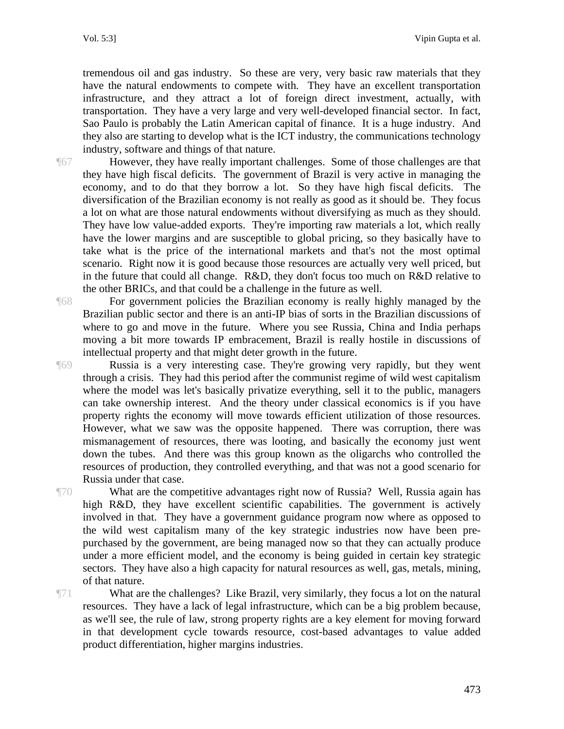tremendous oil and gas industry. So these are very, very basic raw materials that they have the natural endowments to compete with. They have an excellent transportation infrastructure, and they attract a lot of foreign direct investment, actually, with transportation. They have a very large and very well-developed financial sector. In fact, Sao Paulo is probably the Latin American capital of finance. It is a huge industry. And they also are starting to develop what is the ICT industry, the communications technology industry, software and things of that nature.

¶67 However, they have really important challenges. Some of those challenges are that they have high fiscal deficits. The government of Brazil is very active in managing the economy, and to do that they borrow a lot. So they have high fiscal deficits. The diversification of the Brazilian economy is not really as good as it should be. They focus a lot on what are those natural endowments without diversifying as much as they should. They have low value-added exports. They're importing raw materials a lot, which really have the lower margins and are susceptible to global pricing, so they basically have to take what is the price of the international markets and that's not the most optimal scenario. Right now it is good because those resources are actually very well priced, but in the future that could all change. R&D, they don't focus too much on R&D relative to the other BRICs, and that could be a challenge in the future as well.

¶68 For government policies the Brazilian economy is really highly managed by the Brazilian public sector and there is an anti-IP bias of sorts in the Brazilian discussions of where to go and move in the future. Where you see Russia, China and India perhaps moving a bit more towards IP embracement, Brazil is really hostile in discussions of intellectual property and that might deter growth in the future.

¶69 Russia is a very interesting case. They're growing very rapidly, but they went through a crisis. They had this period after the communist regime of wild west capitalism where the model was let's basically privatize everything, sell it to the public, managers can take ownership interest. And the theory under classical economics is if you have property rights the economy will move towards efficient utilization of those resources. However, what we saw was the opposite happened. There was corruption, there was mismanagement of resources, there was looting, and basically the economy just went down the tubes. And there was this group known as the oligarchs who controlled the resources of production, they controlled everything, and that was not a good scenario for Russia under that case.

¶70 What are the competitive advantages right now of Russia? Well, Russia again has high R&D, they have excellent scientific capabilities. The government is actively involved in that. They have a government guidance program now where as opposed to the wild west capitalism many of the key strategic industries now have been prepurchased by the government, are being managed now so that they can actually produce under a more efficient model, and the economy is being guided in certain key strategic sectors. They have also a high capacity for natural resources as well, gas, metals, mining, of that nature.

¶71 What are the challenges? Like Brazil, very similarly, they focus a lot on the natural resources. They have a lack of legal infrastructure, which can be a big problem because, as we'll see, the rule of law, strong property rights are a key element for moving forward in that development cycle towards resource, cost-based advantages to value added product differentiation, higher margins industries.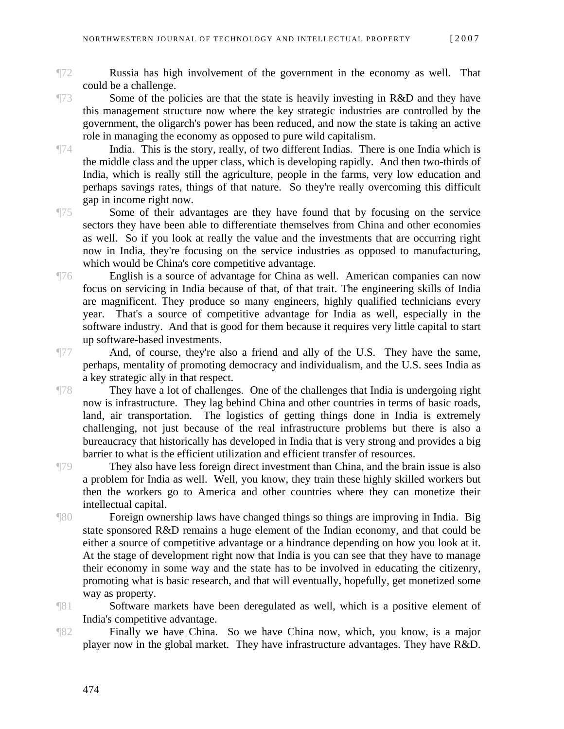- ¶72 Russia has high involvement of the government in the economy as well. That could be a challenge.
- 

¶73 Some of the policies are that the state is heavily investing in R&D and they have this management structure now where the key strategic industries are controlled by the government, the oligarch's power has been reduced, and now the state is taking an active role in managing the economy as opposed to pure wild capitalism.

¶74 India. This is the story, really, of two different Indias. There is one India which is the middle class and the upper class, which is developing rapidly. And then two-thirds of India, which is really still the agriculture, people in the farms, very low education and perhaps savings rates, things of that nature. So they're really overcoming this difficult gap in income right now.

¶75 Some of their advantages are they have found that by focusing on the service sectors they have been able to differentiate themselves from China and other economies as well. So if you look at really the value and the investments that are occurring right now in India, they're focusing on the service industries as opposed to manufacturing, which would be China's core competitive advantage.

¶76 English is a source of advantage for China as well. American companies can now focus on servicing in India because of that, of that trait. The engineering skills of India are magnificent. They produce so many engineers, highly qualified technicians every year. That's a source of competitive advantage for India as well, especially in the software industry. And that is good for them because it requires very little capital to start up software-based investments.

¶77 And, of course, they're also a friend and ally of the U.S. They have the same, perhaps, mentality of promoting democracy and individualism, and the U.S. sees India as a key strategic ally in that respect.

They have a lot of challenges. One of the challenges that India is undergoing right now is infrastructure. They lag behind China and other countries in terms of basic roads, land, air transportation. The logistics of getting things done in India is extremely challenging, not just because of the real infrastructure problems but there is also a bureaucracy that historically has developed in India that is very strong and provides a big barrier to what is the efficient utilization and efficient transfer of resources.

They also have less foreign direct investment than China, and the brain issue is also a problem for India as well. Well, you know, they train these highly skilled workers but then the workers go to America and other countries where they can monetize their intellectual capital.

¶80 Foreign ownership laws have changed things so things are improving in India. Big state sponsored R&D remains a huge element of the Indian economy, and that could be either a source of competitive advantage or a hindrance depending on how you look at it. At the stage of development right now that India is you can see that they have to manage their economy in some way and the state has to be involved in educating the citizenry, promoting what is basic research, and that will eventually, hopefully, get monetized some way as property.

¶81 Software markets have been deregulated as well, which is a positive element of India's competitive advantage.

¶82 Finally we have China. So we have China now, which, you know, is a major player now in the global market. They have infrastructure advantages. They have R&D.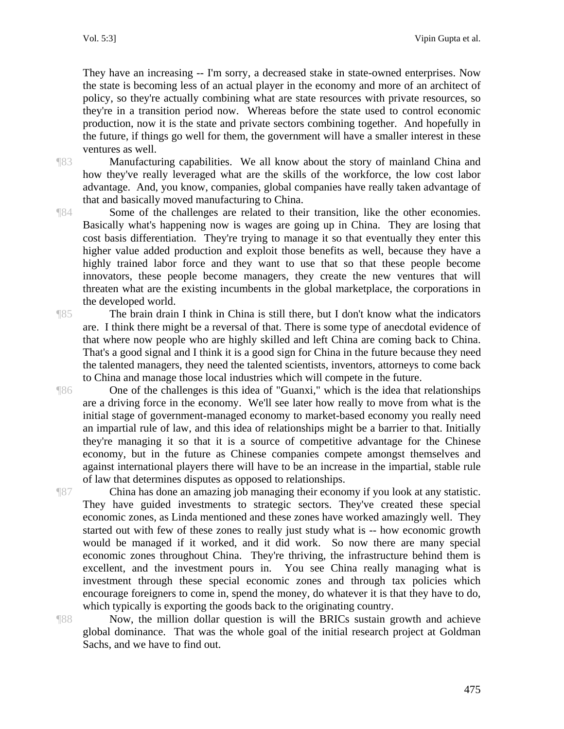They have an increasing -- I'm sorry, a decreased stake in state-owned enterprises. Now the state is becoming less of an actual player in the economy and more of an architect of policy, so they're actually combining what are state resources with private resources, so they're in a transition period now. Whereas before the state used to control economic production, now it is the state and private sectors combining together. And hopefully in the future, if things go well for them, the government will have a smaller interest in these ventures as well.

¶83 Manufacturing capabilities. We all know about the story of mainland China and how they've really leveraged what are the skills of the workforce, the low cost labor advantage. And, you know, companies, global companies have really taken advantage of that and basically moved manufacturing to China.

¶84 Some of the challenges are related to their transition, like the other economies. Basically what's happening now is wages are going up in China. They are losing that cost basis differentiation. They're trying to manage it so that eventually they enter this higher value added production and exploit those benefits as well, because they have a highly trained labor force and they want to use that so that these people become innovators, these people become managers, they create the new ventures that will threaten what are the existing incumbents in the global marketplace, the corporations in the developed world.

¶85 The brain drain I think in China is still there, but I don't know what the indicators are. I think there might be a reversal of that. There is some type of anecdotal evidence of that where now people who are highly skilled and left China are coming back to China. That's a good signal and I think it is a good sign for China in the future because they need the talented managers, they need the talented scientists, inventors, attorneys to come back to China and manage those local industries which will compete in the future.

¶86 One of the challenges is this idea of "Guanxi," which is the idea that relationships are a driving force in the economy. We'll see later how really to move from what is the initial stage of government-managed economy to market-based economy you really need an impartial rule of law, and this idea of relationships might be a barrier to that. Initially they're managing it so that it is a source of competitive advantage for the Chinese economy, but in the future as Chinese companies compete amongst themselves and against international players there will have to be an increase in the impartial, stable rule of law that determines disputes as opposed to relationships.

¶87 China has done an amazing job managing their economy if you look at any statistic. They have guided investments to strategic sectors. They've created these special economic zones, as Linda mentioned and these zones have worked amazingly well. They started out with few of these zones to really just study what is -- how economic growth would be managed if it worked, and it did work. So now there are many special economic zones throughout China. They're thriving, the infrastructure behind them is excellent, and the investment pours in. You see China really managing what is investment through these special economic zones and through tax policies which encourage foreigners to come in, spend the money, do whatever it is that they have to do, which typically is exporting the goods back to the originating country.

¶88 Now, the million dollar question is will the BRICs sustain growth and achieve global dominance. That was the whole goal of the initial research project at Goldman Sachs, and we have to find out.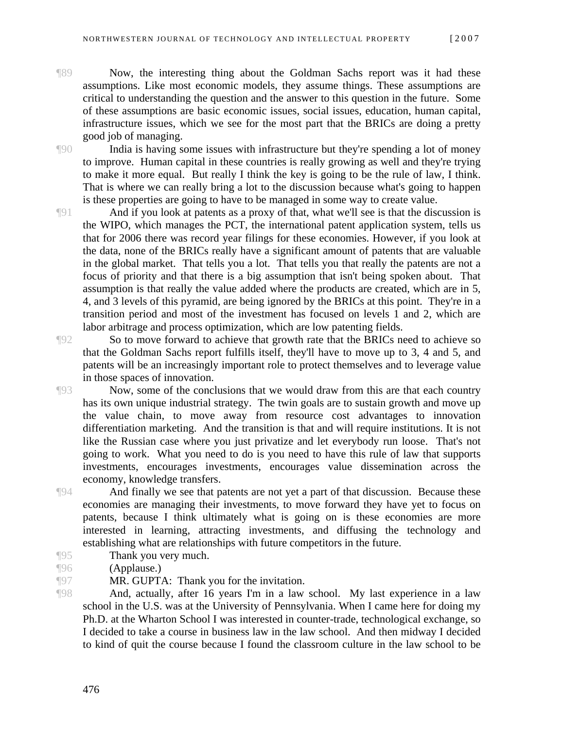¶89 Now, the interesting thing about the Goldman Sachs report was it had these assumptions. Like most economic models, they assume things. These assumptions are critical to understanding the question and the answer to this question in the future. Some of these assumptions are basic economic issues, social issues, education, human capital, infrastructure issues, which we see for the most part that the BRICs are doing a pretty good job of managing.

¶90 India is having some issues with infrastructure but they're spending a lot of money



to improve. Human capital in these countries is really growing as well and they're trying to make it more equal. But really I think the key is going to be the rule of law, I think. That is where we can really bring a lot to the discussion because what's going to happen is these properties are going to have to be managed in some way to create value. ¶91 And if you look at patents as a proxy of that, what we'll see is that the discussion is

the WIPO, which manages the PCT, the international patent application system, tells us that for 2006 there was record year filings for these economies. However, if you look at the data, none of the BRICs really have a significant amount of patents that are valuable in the global market. That tells you a lot. That tells you that really the patents are not a focus of priority and that there is a big assumption that isn't being spoken about. That assumption is that really the value added where the products are created, which are in 5, 4, and 3 levels of this pyramid, are being ignored by the BRICs at this point. They're in a transition period and most of the investment has focused on levels 1 and 2, which are labor arbitrage and process optimization, which are low patenting fields.

¶92 So to move forward to achieve that growth rate that the BRICs need to achieve so that the Goldman Sachs report fulfills itself, they'll have to move up to 3, 4 and 5, and patents will be an increasingly important role to protect themselves and to leverage value in those spaces of innovation.

¶93 Now, some of the conclusions that we would draw from this are that each country has its own unique industrial strategy. The twin goals are to sustain growth and move up the value chain, to move away from resource cost advantages to innovation differentiation marketing. And the transition is that and will require institutions. It is not like the Russian case where you just privatize and let everybody run loose. That's not going to work. What you need to do is you need to have this rule of law that supports investments, encourages investments, encourages value dissemination across the economy, knowledge transfers.

¶94 And finally we see that patents are not yet a part of that discussion. Because these economies are managing their investments, to move forward they have yet to focus on patents, because I think ultimately what is going on is these economies are more interested in learning, attracting investments, and diffusing the technology and establishing what are relationships with future competitors in the future.

- ¶95 Thank you very much.
- ¶96 (Applause.)

¶97 MR. GUPTA: Thank you for the invitation.

¶98 And, actually, after 16 years I'm in a law school. My last experience in a law school in the U.S. was at the University of Pennsylvania. When I came here for doing my Ph.D. at the Wharton School I was interested in counter-trade, technological exchange, so I decided to take a course in business law in the law school. And then midway I decided to kind of quit the course because I found the classroom culture in the law school to be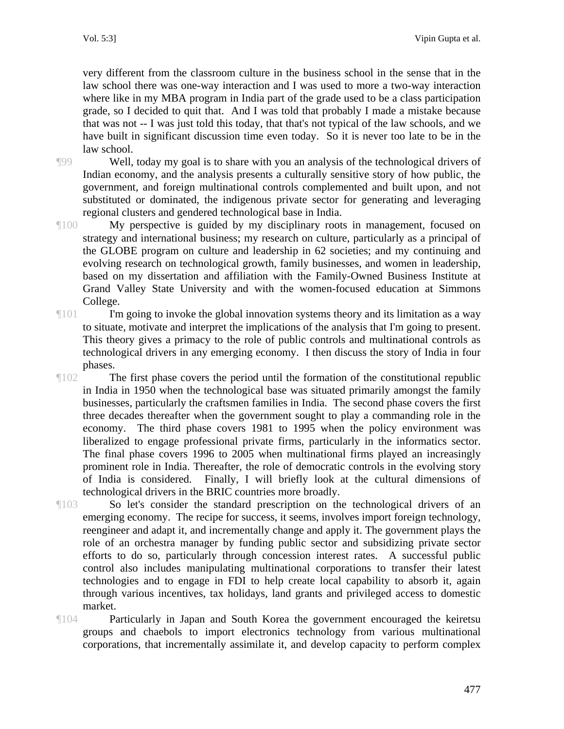very different from the classroom culture in the business school in the sense that in the law school there was one-way interaction and I was used to more a two-way interaction where like in my MBA program in India part of the grade used to be a class participation grade, so I decided to quit that. And I was told that probably I made a mistake because that was not -- I was just told this today, that that's not typical of the law schools, and we have built in significant discussion time even today. So it is never too late to be in the law school.

¶99 Well, today my goal is to share with you an analysis of the technological drivers of Indian economy, and the analysis presents a culturally sensitive story of how public, the government, and foreign multinational controls complemented and built upon, and not substituted or dominated, the indigenous private sector for generating and leveraging regional clusters and gendered technological base in India.

- ¶100 My perspective is guided by my disciplinary roots in management, focused on strategy and international business; my research on culture, particularly as a principal of the GLOBE program on culture and leadership in 62 societies; and my continuing and evolving research on technological growth, family businesses, and women in leadership, based on my dissertation and affiliation with the Family-Owned Business Institute at Grand Valley State University and with the women-focused education at Simmons College.
- ¶101 I'm going to invoke the global innovation systems theory and its limitation as a way to situate, motivate and interpret the implications of the analysis that I'm going to present. This theory gives a primacy to the role of public controls and multinational controls as technological drivers in any emerging economy. I then discuss the story of India in four phases.
- ¶102 The first phase covers the period until the formation of the constitutional republic in India in 1950 when the technological base was situated primarily amongst the family businesses, particularly the craftsmen families in India. The second phase covers the first three decades thereafter when the government sought to play a commanding role in the economy. The third phase covers 1981 to 1995 when the policy environment was liberalized to engage professional private firms, particularly in the informatics sector. The final phase covers 1996 to 2005 when multinational firms played an increasingly prominent role in India. Thereafter, the role of democratic controls in the evolving story of India is considered. Finally, I will briefly look at the cultural dimensions of technological drivers in the BRIC countries more broadly.
- ¶103 So let's consider the standard prescription on the technological drivers of an emerging economy. The recipe for success, it seems, involves import foreign technology, reengineer and adapt it, and incrementally change and apply it. The government plays the role of an orchestra manager by funding public sector and subsidizing private sector efforts to do so, particularly through concession interest rates. A successful public control also includes manipulating multinational corporations to transfer their latest technologies and to engage in FDI to help create local capability to absorb it, again through various incentives, tax holidays, land grants and privileged access to domestic market.
- ¶104 Particularly in Japan and South Korea the government encouraged the keiretsu groups and chaebols to import electronics technology from various multinational corporations, that incrementally assimilate it, and develop capacity to perform complex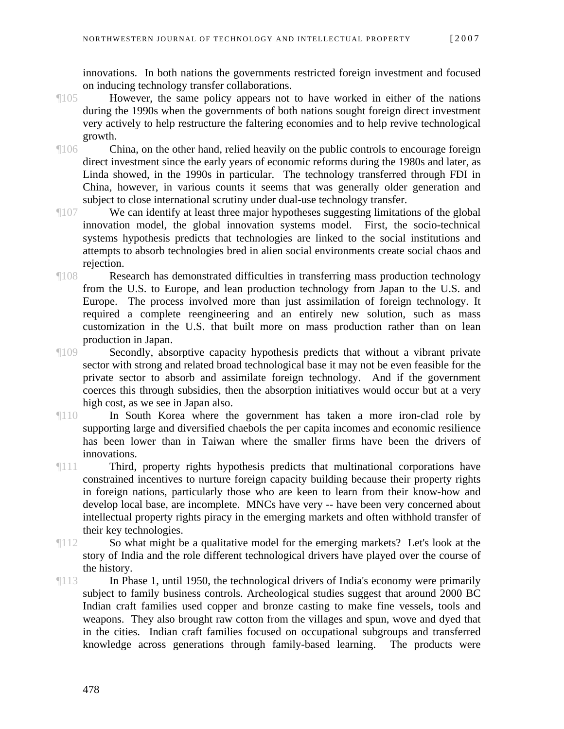innovations. In both nations the governments restricted foreign investment and focused on inducing technology transfer collaborations.

- ¶105 However, the same policy appears not to have worked in either of the nations during the 1990s when the governments of both nations sought foreign direct investment very actively to help restructure the faltering economies and to help revive technological growth.
- ¶106 China, on the other hand, relied heavily on the public controls to encourage foreign direct investment since the early years of economic reforms during the 1980s and later, as Linda showed, in the 1990s in particular. The technology transferred through FDI in China, however, in various counts it seems that was generally older generation and subject to close international scrutiny under dual-use technology transfer.
- ¶107 We can identify at least three major hypotheses suggesting limitations of the global innovation model, the global innovation systems model. First, the socio-technical systems hypothesis predicts that technologies are linked to the social institutions and attempts to absorb technologies bred in alien social environments create social chaos and rejection.
- ¶108 Research has demonstrated difficulties in transferring mass production technology from the U.S. to Europe, and lean production technology from Japan to the U.S. and Europe. The process involved more than just assimilation of foreign technology. It required a complete reengineering and an entirely new solution, such as mass customization in the U.S. that built more on mass production rather than on lean production in Japan.
- ¶109 Secondly, absorptive capacity hypothesis predicts that without a vibrant private sector with strong and related broad technological base it may not be even feasible for the private sector to absorb and assimilate foreign technology. And if the government coerces this through subsidies, then the absorption initiatives would occur but at a very high cost, as we see in Japan also.
- ¶110 In South Korea where the government has taken a more iron-clad role by supporting large and diversified chaebols the per capita incomes and economic resilience has been lower than in Taiwan where the smaller firms have been the drivers of innovations.
- ¶111 Third, property rights hypothesis predicts that multinational corporations have constrained incentives to nurture foreign capacity building because their property rights in foreign nations, particularly those who are keen to learn from their know-how and develop local base, are incomplete. MNCs have very -- have been very concerned about intellectual property rights piracy in the emerging markets and often withhold transfer of their key technologies.
- ¶112 So what might be a qualitative model for the emerging markets? Let's look at the story of India and the role different technological drivers have played over the course of the history.
- ¶113 In Phase 1, until 1950, the technological drivers of India's economy were primarily subject to family business controls. Archeological studies suggest that around 2000 BC Indian craft families used copper and bronze casting to make fine vessels, tools and weapons. They also brought raw cotton from the villages and spun, wove and dyed that in the cities. Indian craft families focused on occupational subgroups and transferred knowledge across generations through family-based learning. The products were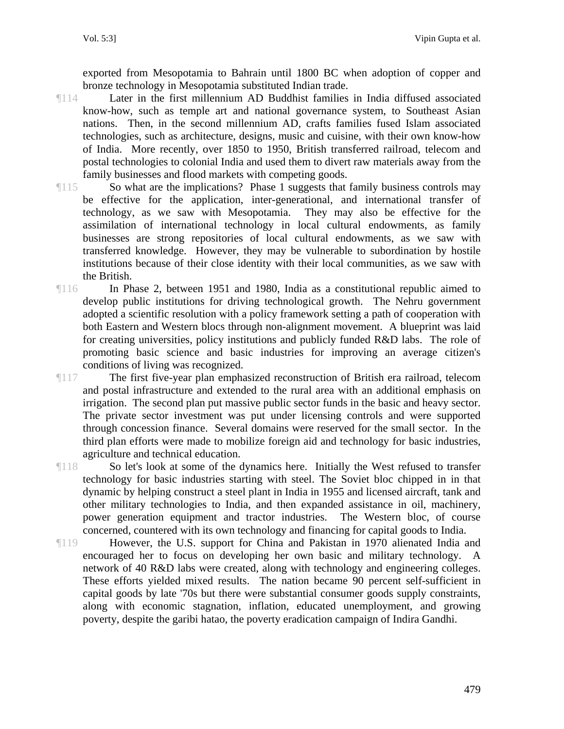exported from Mesopotamia to Bahrain until 1800 BC when adoption of copper and bronze technology in Mesopotamia substituted Indian trade.

- ¶114 Later in the first millennium AD Buddhist families in India diffused associated know-how, such as temple art and national governance system, to Southeast Asian nations. Then, in the second millennium AD, crafts families fused Islam associated technologies, such as architecture, designs, music and cuisine, with their own know-how of India. More recently, over 1850 to 1950, British transferred railroad, telecom and postal technologies to colonial India and used them to divert raw materials away from the family businesses and flood markets with competing goods.
- ¶115 So what are the implications? Phase 1 suggests that family business controls may be effective for the application, inter-generational, and international transfer of technology, as we saw with Mesopotamia. They may also be effective for the assimilation of international technology in local cultural endowments, as family businesses are strong repositories of local cultural endowments, as we saw with transferred knowledge. However, they may be vulnerable to subordination by hostile institutions because of their close identity with their local communities, as we saw with the British.
- ¶116 In Phase 2, between 1951 and 1980, India as a constitutional republic aimed to develop public institutions for driving technological growth. The Nehru government adopted a scientific resolution with a policy framework setting a path of cooperation with both Eastern and Western blocs through non-alignment movement. A blueprint was laid for creating universities, policy institutions and publicly funded R&D labs. The role of promoting basic science and basic industries for improving an average citizen's conditions of living was recognized.
- ¶117 The first five-year plan emphasized reconstruction of British era railroad, telecom and postal infrastructure and extended to the rural area with an additional emphasis on irrigation. The second plan put massive public sector funds in the basic and heavy sector. The private sector investment was put under licensing controls and were supported through concession finance. Several domains were reserved for the small sector. In the third plan efforts were made to mobilize foreign aid and technology for basic industries, agriculture and technical education.

¶118 So let's look at some of the dynamics here. Initially the West refused to transfer technology for basic industries starting with steel. The Soviet bloc chipped in in that dynamic by helping construct a steel plant in India in 1955 and licensed aircraft, tank and other military technologies to India, and then expanded assistance in oil, machinery, power generation equipment and tractor industries. The Western bloc, of course concerned, countered with its own technology and financing for capital goods to India.

¶119 However, the U.S. support for China and Pakistan in 1970 alienated India and encouraged her to focus on developing her own basic and military technology. A network of 40 R&D labs were created, along with technology and engineering colleges. These efforts yielded mixed results. The nation became 90 percent self-sufficient in capital goods by late '70s but there were substantial consumer goods supply constraints, along with economic stagnation, inflation, educated unemployment, and growing poverty, despite the garibi hatao, the poverty eradication campaign of Indira Gandhi.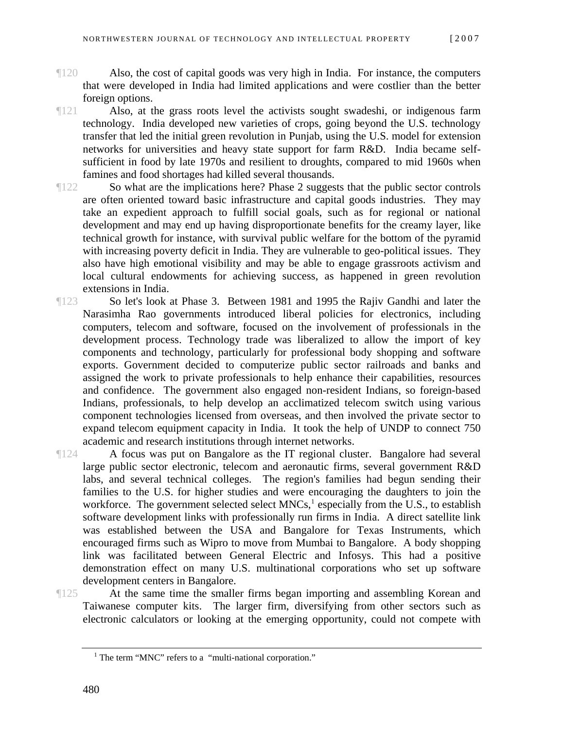- ¶120 Also, the cost of capital goods was very high in India. For instance, the computers that were developed in India had limited applications and were costlier than the better foreign options.
- ¶121 Also, at the grass roots level the activists sought swadeshi, or indigenous farm technology. India developed new varieties of crops, going beyond the U.S. technology transfer that led the initial green revolution in Punjab, using the U.S. model for extension networks for universities and heavy state support for farm R&D. India became selfsufficient in food by late 1970s and resilient to droughts, compared to mid 1960s when famines and food shortages had killed several thousands.
- ¶122 So what are the implications here? Phase 2 suggests that the public sector controls are often oriented toward basic infrastructure and capital goods industries. They may take an expedient approach to fulfill social goals, such as for regional or national development and may end up having disproportionate benefits for the creamy layer, like technical growth for instance, with survival public welfare for the bottom of the pyramid with increasing poverty deficit in India. They are vulnerable to geo-political issues. They also have high emotional visibility and may be able to engage grassroots activism and local cultural endowments for achieving success, as happened in green revolution extensions in India.
- ¶123 So let's look at Phase 3. Between 1981 and 1995 the Rajiv Gandhi and later the Narasimha Rao governments introduced liberal policies for electronics, including computers, telecom and software, focused on the involvement of professionals in the development process. Technology trade was liberalized to allow the import of key components and technology, particularly for professional body shopping and software exports. Government decided to computerize public sector railroads and banks and assigned the work to private professionals to help enhance their capabilities, resources and confidence. The government also engaged non-resident Indians, so foreign-based Indians, professionals, to help develop an acclimatized telecom switch using various component technologies licensed from overseas, and then involved the private sector to expand telecom equipment capacity in India. It took the help of UNDP to connect 750 academic and research institutions through internet networks.

¶124 A focus was put on Bangalore as the IT regional cluster. Bangalore had several large public sector electronic, telecom and aeronautic firms, several government R&D labs, and several technical colleges. The region's families had begun sending their families to the U.S. for higher studies and were encouraging the daughters to join the workforce. The government selected select  $MNCs<sup>1</sup>$  $MNCs<sup>1</sup>$  $MNCs<sup>1</sup>$ , especially from the U.S., to establish software development links with professionally run firms in India. A direct satellite link was established between the USA and Bangalore for Texas Instruments, which encouraged firms such as Wipro to move from Mumbai to Bangalore. A body shopping link was facilitated between General Electric and Infosys. This had a positive demonstration effect on many U.S. multinational corporations who set up software development centers in Bangalore.

<span id="page-17-0"></span>

¶125 At the same time the smaller firms began importing and assembling Korean and Taiwanese computer kits. The larger firm, diversifying from other sectors such as electronic calculators or looking at the emerging opportunity, could not compete with

<sup>&</sup>lt;sup>1</sup> The term "MNC" refers to a "multi-national corporation."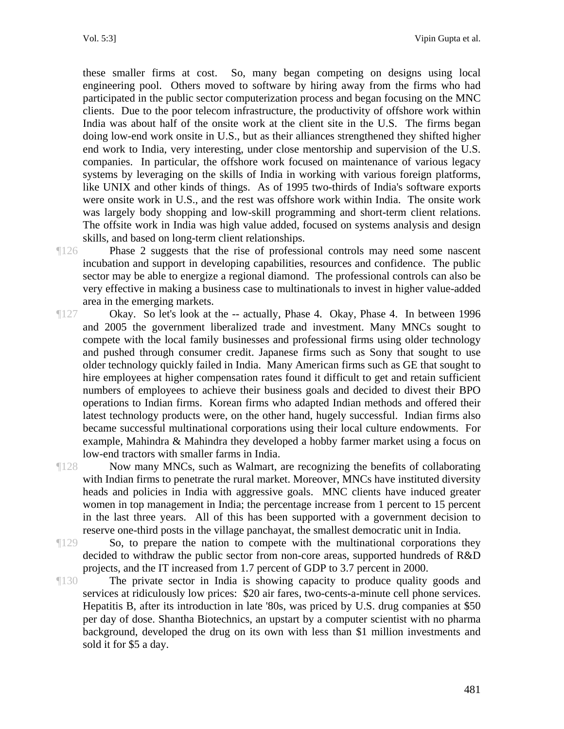these smaller firms at cost. So, many began competing on designs using local engineering pool. Others moved to software by hiring away from the firms who had participated in the public sector computerization process and began focusing on the MNC clients. Due to the poor telecom infrastructure, the productivity of offshore work within India was about half of the onsite work at the client site in the U.S. The firms began doing low-end work onsite in U.S., but as their alliances strengthened they shifted higher end work to India, very interesting, under close mentorship and supervision of the U.S. companies. In particular, the offshore work focused on maintenance of various legacy systems by leveraging on the skills of India in working with various foreign platforms, like UNIX and other kinds of things. As of 1995 two-thirds of India's software exports were onsite work in U.S., and the rest was offshore work within India. The onsite work was largely body shopping and low-skill programming and short-term client relations. The offsite work in India was high value added, focused on systems analysis and design skills, and based on long-term client relationships.

¶126 Phase 2 suggests that the rise of professional controls may need some nascent incubation and support in developing capabilities, resources and confidence. The public sector may be able to energize a regional diamond. The professional controls can also be very effective in making a business case to multinationals to invest in higher value-added area in the emerging markets.

¶127 Okay. So let's look at the -- actually, Phase 4. Okay, Phase 4. In between 1996 and 2005 the government liberalized trade and investment. Many MNCs sought to compete with the local family businesses and professional firms using older technology and pushed through consumer credit. Japanese firms such as Sony that sought to use older technology quickly failed in India. Many American firms such as GE that sought to hire employees at higher compensation rates found it difficult to get and retain sufficient numbers of employees to achieve their business goals and decided to divest their BPO operations to Indian firms. Korean firms who adapted Indian methods and offered their latest technology products were, on the other hand, hugely successful. Indian firms also became successful multinational corporations using their local culture endowments. For example, Mahindra & Mahindra they developed a hobby farmer market using a focus on low-end tractors with smaller farms in India.

¶128 Now many MNCs, such as Walmart, are recognizing the benefits of collaborating with Indian firms to penetrate the rural market. Moreover, MNCs have instituted diversity heads and policies in India with aggressive goals. MNC clients have induced greater women in top management in India; the percentage increase from 1 percent to 15 percent in the last three years. All of this has been supported with a government decision to reserve one-third posts in the village panchayat, the smallest democratic unit in India.

¶129 So, to prepare the nation to compete with the multinational corporations they decided to withdraw the public sector from non-core areas, supported hundreds of R&D projects, and the IT increased from 1.7 percent of GDP to 3.7 percent in 2000.

¶130 The private sector in India is showing capacity to produce quality goods and services at ridiculously low prices: \$20 air fares, two-cents-a-minute cell phone services. Hepatitis B, after its introduction in late '80s, was priced by U.S. drug companies at \$50 per day of dose. Shantha Biotechnics, an upstart by a computer scientist with no pharma background, developed the drug on its own with less than \$1 million investments and sold it for \$5 a day.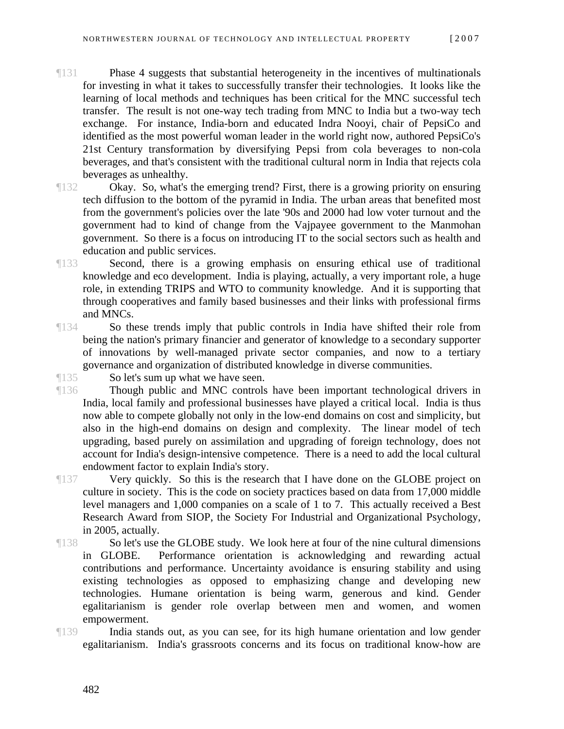¶131 Phase 4 suggests that substantial heterogeneity in the incentives of multinationals for investing in what it takes to successfully transfer their technologies. It looks like the learning of local methods and techniques has been critical for the MNC successful tech transfer. The result is not one-way tech trading from MNC to India but a two-way tech exchange. For instance, India-born and educated Indra Nooyi, chair of PepsiCo and identified as the most powerful woman leader in the world right now, authored PepsiCo's 21st Century transformation by diversifying Pepsi from cola beverages to non-cola beverages, and that's consistent with the traditional cultural norm in India that rejects cola beverages as unhealthy.

¶132 Okay. So, what's the emerging trend? First, there is a growing priority on ensuring tech diffusion to the bottom of the pyramid in India. The urban areas that benefited most from the government's policies over the late '90s and 2000 had low voter turnout and the government had to kind of change from the Vajpayee government to the Manmohan government. So there is a focus on introducing IT to the social sectors such as health and education and public services.

¶133 Second, there is a growing emphasis on ensuring ethical use of traditional knowledge and eco development. India is playing, actually, a very important role, a huge role, in extending TRIPS and WTO to community knowledge. And it is supporting that through cooperatives and family based businesses and their links with professional firms and MNCs.

¶134 So these trends imply that public controls in India have shifted their role from being the nation's primary financier and generator of knowledge to a secondary supporter of innovations by well-managed private sector companies, and now to a tertiary governance and organization of distributed knowledge in diverse communities.

¶135 So let's sum up what we have seen.

¶136 Though public and MNC controls have been important technological drivers in India, local family and professional businesses have played a critical local. India is thus now able to compete globally not only in the low-end domains on cost and simplicity, but also in the high-end domains on design and complexity. The linear model of tech upgrading, based purely on assimilation and upgrading of foreign technology, does not account for India's design-intensive competence. There is a need to add the local cultural endowment factor to explain India's story.

¶137 Very quickly. So this is the research that I have done on the GLOBE project on culture in society. This is the code on society practices based on data from 17,000 middle level managers and 1,000 companies on a scale of 1 to 7. This actually received a Best Research Award from SIOP, the Society For Industrial and Organizational Psychology, in 2005, actually.

¶138 So let's use the GLOBE study. We look here at four of the nine cultural dimensions in GLOBE. Performance orientation is acknowledging and rewarding actual contributions and performance. Uncertainty avoidance is ensuring stability and using existing technologies as opposed to emphasizing change and developing new technologies. Humane orientation is being warm, generous and kind. Gender egalitarianism is gender role overlap between men and women, and women empowerment.

¶139 India stands out, as you can see, for its high humane orientation and low gender egalitarianism. India's grassroots concerns and its focus on traditional know-how are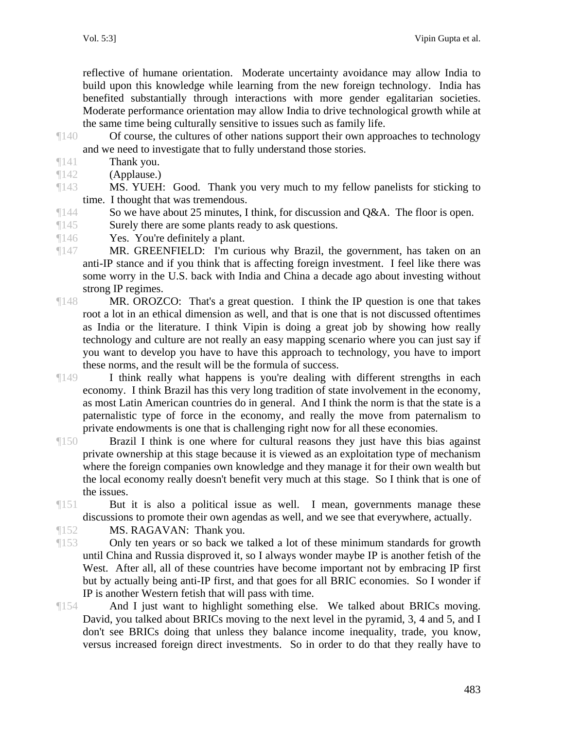reflective of humane orientation. Moderate uncertainty avoidance may allow India to build upon this knowledge while learning from the new foreign technology. India has benefited substantially through interactions with more gender egalitarian societies. Moderate performance orientation may allow India to drive technological growth while at the same time being culturally sensitive to issues such as family life.

- ¶140 Of course, the cultures of other nations support their own approaches to technology and we need to investigate that to fully understand those stories.
- ¶141 Thank you.
- ¶142 (Applause.)
- ¶143 MS. YUEH: Good. Thank you very much to my fellow panelists for sticking to time. I thought that was tremendous.
- ¶144 So we have about 25 minutes, I think, for discussion and Q&A. The floor is open.
- ¶145 Surely there are some plants ready to ask questions.
- ¶146 Yes. You're definitely a plant.
- ¶147 MR. GREENFIELD: I'm curious why Brazil, the government, has taken on an anti-IP stance and if you think that is affecting foreign investment. I feel like there was some worry in the U.S. back with India and China a decade ago about investing without strong IP regimes.
- ¶148 MR. OROZCO: That's a great question. I think the IP question is one that takes root a lot in an ethical dimension as well, and that is one that is not discussed oftentimes as India or the literature. I think Vipin is doing a great job by showing how really technology and culture are not really an easy mapping scenario where you can just say if you want to develop you have to have this approach to technology, you have to import these norms, and the result will be the formula of success.
- ¶149 I think really what happens is you're dealing with different strengths in each economy. I think Brazil has this very long tradition of state involvement in the economy, as most Latin American countries do in general. And I think the norm is that the state is a paternalistic type of force in the economy, and really the move from paternalism to private endowments is one that is challenging right now for all these economies.
- ¶150 Brazil I think is one where for cultural reasons they just have this bias against private ownership at this stage because it is viewed as an exploitation type of mechanism where the foreign companies own knowledge and they manage it for their own wealth but the local economy really doesn't benefit very much at this stage. So I think that is one of the issues.
- ¶151 But it is also a political issue as well. I mean, governments manage these discussions to promote their own agendas as well, and we see that everywhere, actually.

¶152 MS. RAGAVAN: Thank you.

- ¶153 Only ten years or so back we talked a lot of these minimum standards for growth until China and Russia disproved it, so I always wonder maybe IP is another fetish of the West. After all, all of these countries have become important not by embracing IP first but by actually being anti-IP first, and that goes for all BRIC economies. So I wonder if IP is another Western fetish that will pass with time.
- ¶154 And I just want to highlight something else. We talked about BRICs moving. David, you talked about BRICs moving to the next level in the pyramid, 3, 4 and 5, and I don't see BRICs doing that unless they balance income inequality, trade, you know, versus increased foreign direct investments. So in order to do that they really have to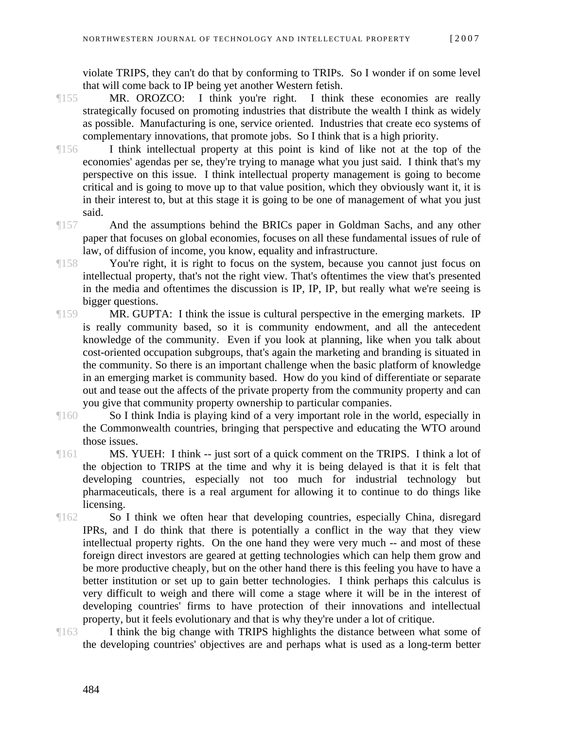violate TRIPS, they can't do that by conforming to TRIPs. So I wonder if on some level that will come back to IP being yet another Western fetish.

- ¶155 MR. OROZCO: I think you're right. I think these economies are really strategically focused on promoting industries that distribute the wealth I think as widely as possible. Manufacturing is one, service oriented. Industries that create eco systems of complementary innovations, that promote jobs. So I think that is a high priority.
- ¶156 I think intellectual property at this point is kind of like not at the top of the economies' agendas per se, they're trying to manage what you just said. I think that's my perspective on this issue. I think intellectual property management is going to become critical and is going to move up to that value position, which they obviously want it, it is in their interest to, but at this stage it is going to be one of management of what you just said.
- ¶157 And the assumptions behind the BRICs paper in Goldman Sachs, and any other paper that focuses on global economies, focuses on all these fundamental issues of rule of law, of diffusion of income, you know, equality and infrastructure.
- ¶158 You're right, it is right to focus on the system, because you cannot just focus on intellectual property, that's not the right view. That's oftentimes the view that's presented in the media and oftentimes the discussion is IP, IP, IP, but really what we're seeing is bigger questions.
- ¶159 MR. GUPTA: I think the issue is cultural perspective in the emerging markets. IP is really community based, so it is community endowment, and all the antecedent knowledge of the community. Even if you look at planning, like when you talk about cost-oriented occupation subgroups, that's again the marketing and branding is situated in the community. So there is an important challenge when the basic platform of knowledge in an emerging market is community based. How do you kind of differentiate or separate out and tease out the affects of the private property from the community property and can you give that community property ownership to particular companies.
- ¶160 So I think India is playing kind of a very important role in the world, especially in the Commonwealth countries, bringing that perspective and educating the WTO around those issues.
- ¶161 MS. YUEH: I think -- just sort of a quick comment on the TRIPS. I think a lot of the objection to TRIPS at the time and why it is being delayed is that it is felt that developing countries, especially not too much for industrial technology but pharmaceuticals, there is a real argument for allowing it to continue to do things like licensing.
- ¶162 So I think we often hear that developing countries, especially China, disregard IPRs, and I do think that there is potentially a conflict in the way that they view intellectual property rights. On the one hand they were very much -- and most of these foreign direct investors are geared at getting technologies which can help them grow and be more productive cheaply, but on the other hand there is this feeling you have to have a better institution or set up to gain better technologies. I think perhaps this calculus is very difficult to weigh and there will come a stage where it will be in the interest of developing countries' firms to have protection of their innovations and intellectual property, but it feels evolutionary and that is why they're under a lot of critique.
- ¶163 I think the big change with TRIPS highlights the distance between what some of the developing countries' objectives are and perhaps what is used as a long-term better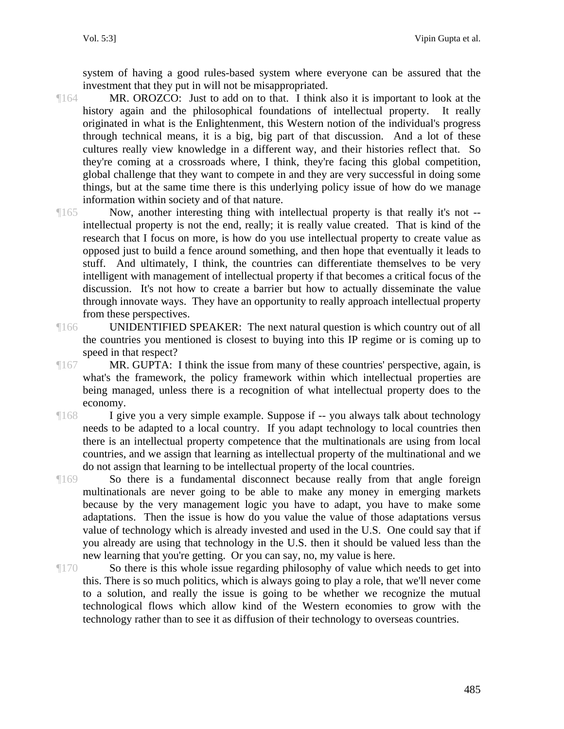system of having a good rules-based system where everyone can be assured that the investment that they put in will not be misappropriated.

- ¶164 MR. OROZCO: Just to add on to that. I think also it is important to look at the history again and the philosophical foundations of intellectual property. It really originated in what is the Enlightenment, this Western notion of the individual's progress through technical means, it is a big, big part of that discussion. And a lot of these cultures really view knowledge in a different way, and their histories reflect that. So they're coming at a crossroads where, I think, they're facing this global competition, global challenge that they want to compete in and they are very successful in doing some things, but at the same time there is this underlying policy issue of how do we manage information within society and of that nature.
- ¶165 Now, another interesting thing with intellectual property is that really it's not intellectual property is not the end, really; it is really value created. That is kind of the research that I focus on more, is how do you use intellectual property to create value as opposed just to build a fence around something, and then hope that eventually it leads to stuff. And ultimately, I think, the countries can differentiate themselves to be very intelligent with management of intellectual property if that becomes a critical focus of the discussion. It's not how to create a barrier but how to actually disseminate the value through innovate ways. They have an opportunity to really approach intellectual property from these perspectives.
- ¶166 UNIDENTIFIED SPEAKER: The next natural question is which country out of all the countries you mentioned is closest to buying into this IP regime or is coming up to speed in that respect?
- ¶167 MR. GUPTA: I think the issue from many of these countries' perspective, again, is what's the framework, the policy framework within which intellectual properties are being managed, unless there is a recognition of what intellectual property does to the economy.
- ¶168 I give you a very simple example. Suppose if -- you always talk about technology needs to be adapted to a local country. If you adapt technology to local countries then there is an intellectual property competence that the multinationals are using from local countries, and we assign that learning as intellectual property of the multinational and we do not assign that learning to be intellectual property of the local countries.
- ¶169 So there is a fundamental disconnect because really from that angle foreign multinationals are never going to be able to make any money in emerging markets because by the very management logic you have to adapt, you have to make some adaptations. Then the issue is how do you value the value of those adaptations versus value of technology which is already invested and used in the U.S. One could say that if you already are using that technology in the U.S. then it should be valued less than the new learning that you're getting. Or you can say, no, my value is here.
- ¶170 So there is this whole issue regarding philosophy of value which needs to get into this. There is so much politics, which is always going to play a role, that we'll never come to a solution, and really the issue is going to be whether we recognize the mutual technological flows which allow kind of the Western economies to grow with the technology rather than to see it as diffusion of their technology to overseas countries.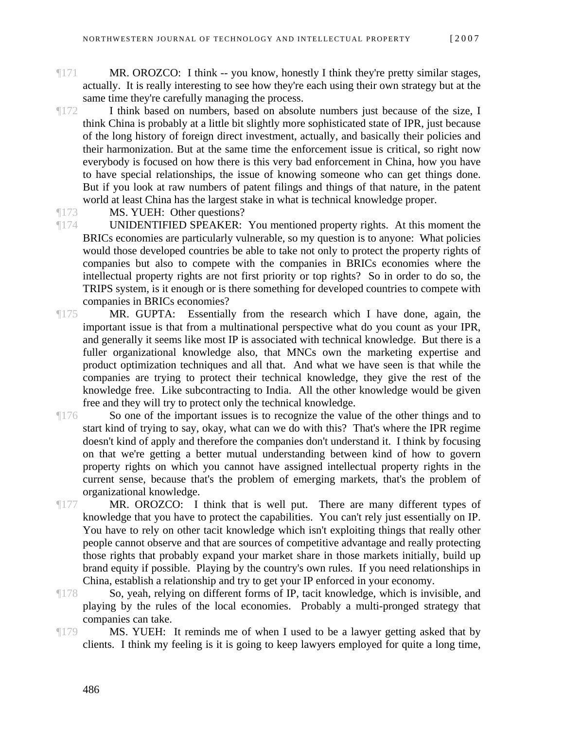- ¶171 MR. OROZCO: I think -- you know, honestly I think they're pretty similar stages, actually. It is really interesting to see how they're each using their own strategy but at the same time they're carefully managing the process.
- ¶172 I think based on numbers, based on absolute numbers just because of the size, I think China is probably at a little bit slightly more sophisticated state of IPR, just because of the long history of foreign direct investment, actually, and basically their policies and their harmonization. But at the same time the enforcement issue is critical, so right now everybody is focused on how there is this very bad enforcement in China, how you have to have special relationships, the issue of knowing someone who can get things done. But if you look at raw numbers of patent filings and things of that nature, in the patent world at least China has the largest stake in what is technical knowledge proper.
- 

¶173 MS. YUEH: Other questions?

¶174 UNIDENTIFIED SPEAKER: You mentioned property rights. At this moment the BRICs economies are particularly vulnerable, so my question is to anyone: What policies would those developed countries be able to take not only to protect the property rights of companies but also to compete with the companies in BRICs economies where the intellectual property rights are not first priority or top rights? So in order to do so, the TRIPS system, is it enough or is there something for developed countries to compete with companies in BRICs economies?

¶175 MR. GUPTA: Essentially from the research which I have done, again, the important issue is that from a multinational perspective what do you count as your IPR, and generally it seems like most IP is associated with technical knowledge. But there is a fuller organizational knowledge also, that MNCs own the marketing expertise and product optimization techniques and all that. And what we have seen is that while the companies are trying to protect their technical knowledge, they give the rest of the knowledge free. Like subcontracting to India. All the other knowledge would be given free and they will try to protect only the technical knowledge.

¶176 So one of the important issues is to recognize the value of the other things and to start kind of trying to say, okay, what can we do with this? That's where the IPR regime doesn't kind of apply and therefore the companies don't understand it. I think by focusing on that we're getting a better mutual understanding between kind of how to govern property rights on which you cannot have assigned intellectual property rights in the current sense, because that's the problem of emerging markets, that's the problem of organizational knowledge.

¶177 MR. OROZCO: I think that is well put. There are many different types of knowledge that you have to protect the capabilities. You can't rely just essentially on IP. You have to rely on other tacit knowledge which isn't exploiting things that really other people cannot observe and that are sources of competitive advantage and really protecting those rights that probably expand your market share in those markets initially, build up brand equity if possible. Playing by the country's own rules. If you need relationships in China, establish a relationship and try to get your IP enforced in your economy.

- ¶178 So, yeah, relying on different forms of IP, tacit knowledge, which is invisible, and playing by the rules of the local economies. Probably a multi-pronged strategy that companies can take.
- ¶179 MS. YUEH: It reminds me of when I used to be a lawyer getting asked that by clients. I think my feeling is it is going to keep lawyers employed for quite a long time,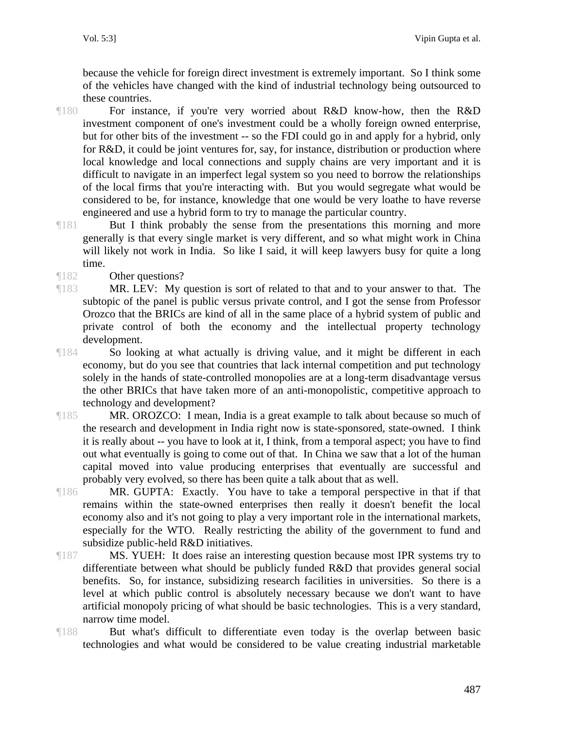because the vehicle for foreign direct investment is extremely important. So I think some of the vehicles have changed with the kind of industrial technology being outsourced to these countries.

- ¶180 For instance, if you're very worried about R&D know-how, then the R&D investment component of one's investment could be a wholly foreign owned enterprise, but for other bits of the investment -- so the FDI could go in and apply for a hybrid, only for R&D, it could be joint ventures for, say, for instance, distribution or production where local knowledge and local connections and supply chains are very important and it is difficult to navigate in an imperfect legal system so you need to borrow the relationships of the local firms that you're interacting with. But you would segregate what would be considered to be, for instance, knowledge that one would be very loathe to have reverse engineered and use a hybrid form to try to manage the particular country.
- ¶181 But I think probably the sense from the presentations this morning and more generally is that every single market is very different, and so what might work in China will likely not work in India. So like I said, it will keep lawyers busy for quite a long time.
- ¶182 Other questions?
- ¶183 MR. LEV: My question is sort of related to that and to your answer to that. The subtopic of the panel is public versus private control, and I got the sense from Professor Orozco that the BRICs are kind of all in the same place of a hybrid system of public and private control of both the economy and the intellectual property technology development.
- ¶184 So looking at what actually is driving value, and it might be different in each economy, but do you see that countries that lack internal competition and put technology solely in the hands of state-controlled monopolies are at a long-term disadvantage versus the other BRICs that have taken more of an anti-monopolistic, competitive approach to technology and development?
- ¶185 MR. OROZCO: I mean, India is a great example to talk about because so much of the research and development in India right now is state-sponsored, state-owned. I think it is really about -- you have to look at it, I think, from a temporal aspect; you have to find out what eventually is going to come out of that. In China we saw that a lot of the human capital moved into value producing enterprises that eventually are successful and probably very evolved, so there has been quite a talk about that as well.
- ¶186 MR. GUPTA: Exactly. You have to take a temporal perspective in that if that remains within the state-owned enterprises then really it doesn't benefit the local economy also and it's not going to play a very important role in the international markets, especially for the WTO. Really restricting the ability of the government to fund and subsidize public-held R&D initiatives.
- ¶187 MS. YUEH: It does raise an interesting question because most IPR systems try to differentiate between what should be publicly funded R&D that provides general social benefits. So, for instance, subsidizing research facilities in universities. So there is a level at which public control is absolutely necessary because we don't want to have artificial monopoly pricing of what should be basic technologies. This is a very standard, narrow time model.
- ¶188 But what's difficult to differentiate even today is the overlap between basic technologies and what would be considered to be value creating industrial marketable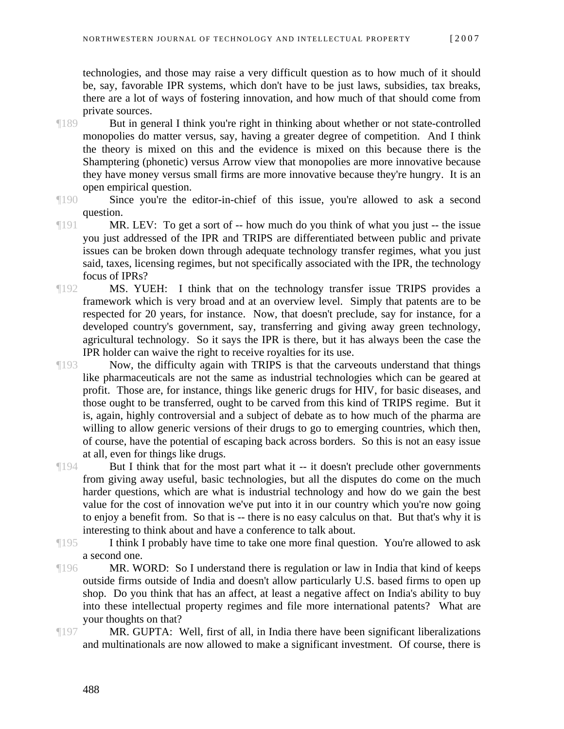technologies, and those may raise a very difficult question as to how much of it should be, say, favorable IPR systems, which don't have to be just laws, subsidies, tax breaks, there are a lot of ways of fostering innovation, and how much of that should come from private sources.

- ¶189 But in general I think you're right in thinking about whether or not state-controlled monopolies do matter versus, say, having a greater degree of competition. And I think the theory is mixed on this and the evidence is mixed on this because there is the Shamptering (phonetic) versus Arrow view that monopolies are more innovative because they have money versus small firms are more innovative because they're hungry. It is an open empirical question.
- ¶190 Since you're the editor-in-chief of this issue, you're allowed to ask a second question.
- ¶191 MR. LEV: To get a sort of -- how much do you think of what you just -- the issue you just addressed of the IPR and TRIPS are differentiated between public and private issues can be broken down through adequate technology transfer regimes, what you just said, taxes, licensing regimes, but not specifically associated with the IPR, the technology focus of IPRs?
- ¶192 MS. YUEH: I think that on the technology transfer issue TRIPS provides a framework which is very broad and at an overview level. Simply that patents are to be respected for 20 years, for instance. Now, that doesn't preclude, say for instance, for a developed country's government, say, transferring and giving away green technology, agricultural technology. So it says the IPR is there, but it has always been the case the IPR holder can waive the right to receive royalties for its use.
- ¶193 Now, the difficulty again with TRIPS is that the carveouts understand that things like pharmaceuticals are not the same as industrial technologies which can be geared at profit. Those are, for instance, things like generic drugs for HIV, for basic diseases, and those ought to be transferred, ought to be carved from this kind of TRIPS regime. But it is, again, highly controversial and a subject of debate as to how much of the pharma are willing to allow generic versions of their drugs to go to emerging countries, which then, of course, have the potential of escaping back across borders. So this is not an easy issue at all, even for things like drugs.
- ¶194 But I think that for the most part what it -- it doesn't preclude other governments from giving away useful, basic technologies, but all the disputes do come on the much harder questions, which are what is industrial technology and how do we gain the best value for the cost of innovation we've put into it in our country which you're now going to enjoy a benefit from. So that is -- there is no easy calculus on that. But that's why it is interesting to think about and have a conference to talk about.
- ¶195 I think I probably have time to take one more final question. You're allowed to ask a second one.
- ¶196 MR. WORD: So I understand there is regulation or law in India that kind of keeps outside firms outside of India and doesn't allow particularly U.S. based firms to open up shop. Do you think that has an affect, at least a negative affect on India's ability to buy into these intellectual property regimes and file more international patents? What are your thoughts on that?
- ¶197 MR. GUPTA: Well, first of all, in India there have been significant liberalizations and multinationals are now allowed to make a significant investment. Of course, there is
	- 488